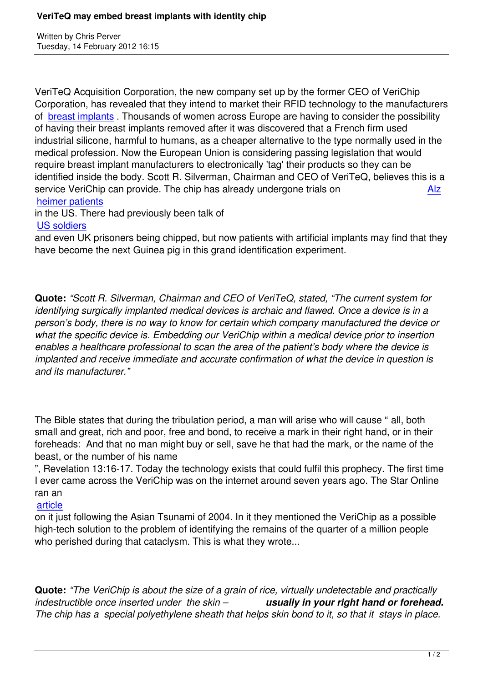VeriTeQ Acquisition Corporation, the new company set up by the former CEO of VeriChip Corporation, has revealed that they intend to market their RFID technology to the manufacturers of breast implants. Thousands of women across Europe are having to consider the possibility of having their breast implants removed after it was discovered that a French firm used industrial silicone, harmful to humans, as a cheaper alternative to the type normally used in the m[edical profession](http://finance.yahoo.com/news/veriteq-acquisition-corporation-offer-implantable-133000063.html). Now the European Union is considering passing legislation that would require breast implant manufacturers to electronically 'tag' their products so they can be identified inside the body. Scott R. Silverman, Chairman and CEO of VeriTeQ, believes this is a service VeriChip can provide. The chip has already undergone trials on Alz heimer patients

in the US. There had previously been talk of

## US soldiers

[and even UK pri](may07.html#5-10-1)soners being chipped, but now patients with artificial implants may find that [the](may07.html#5-10-1)y have become the next Guinea pig in this grand identification experiment.

**Quote:** *"Scott R. Silverman, Chairman and CEO of VeriTeQ, stated, "The current system for identifying surgically implanted medical devices is archaic and flawed. Once a device is in a person's body, there is no way to know for certain which company manufactured the device or what the specific device is. Embedding our VeriChip within a medical device prior to insertion enables a healthcare professional to scan the area of the patient's body where the device is implanted and receive immediate and accurate confirmation of what the device in question is and its manufacturer."*

The Bible states that during the tribulation period, a man will arise who will cause " all, both small and great, rich and poor, free and bond, to receive a mark in their right hand, or in their foreheads: And that no man might buy or sell, save he that had the mark, or the name of the beast, or the number of his name

", Revelation 13:16-17. Today the technology exists that could fulfil this prophecy. The first time I ever came across the VeriChip was on the internet around seven years ago. The Star Online ran an

## article

on it just following the Asian Tsunami of 2004. In it they mentioned the VeriChip as a possible high-tech solution to the problem of identifying the remains of the quarter of a million people [who pe](docs/RightHandorForehead.pdf)rished during that cataclysm. This is what they wrote...

**Quote:** *"The VeriChip is about the size of a grain of rice, virtually undetectable and practically indestructible once inserted under the skin – usually in your right hand or forehead. The chip has a special polyethylene sheath that helps skin bond to it, so that it stays in place.*